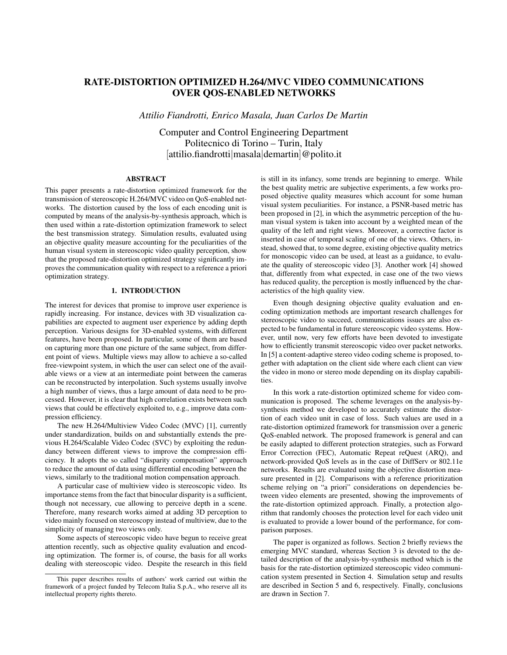# RATE-DISTORTION OPTIMIZED H.264/MVC VIDEO COMMUNICATIONS OVER QOS-ENABLED NETWORKS

*Attilio Fiandrotti, Enrico Masala, Juan Carlos De Martin*

Computer and Control Engineering Department Politecnico di Torino – Turin, Italy [attilio.fiandrotti|masala|demartin]@polito.it

### ABSTRACT

This paper presents a rate-distortion optimized framework for the transmission of stereoscopic H.264/MVC video on QoS-enabled networks. The distortion caused by the loss of each encoding unit is computed by means of the analysis-by-synthesis approach, which is then used within a rate-distortion optimization framework to select the best transmission strategy. Simulation results, evaluated using an objective quality measure accounting for the peculiarities of the human visual system in stereoscopic video quality perception, show that the proposed rate-distortion optimized strategy significantly improves the communication quality with respect to a reference a priori optimization strategy.

# 1. INTRODUCTION

The interest for devices that promise to improve user experience is rapidly increasing. For instance, devices with 3D visualization capabilities are expected to augment user experience by adding depth perception. Various designs for 3D-enabled systems, with different features, have been proposed. In particular, some of them are based on capturing more than one picture of the same subject, from different point of views. Multiple views may allow to achieve a so-called free-viewpoint system, in which the user can select one of the available views or a view at an intermediate point between the cameras can be reconstructed by interpolation. Such systems usually involve a high number of views, thus a large amount of data need to be processed. However, it is clear that high correlation exists between such views that could be effectively exploited to, e.g., improve data compression efficiency.

The new H.264/Multiview Video Codec (MVC) [1], currently under standardization, builds on and substantially extends the previous H.264/Scalable Video Codec (SVC) by exploiting the redundancy between different views to improve the compression efficiency. It adopts the so called "disparity compensation" approach to reduce the amount of data using differential encoding between the views, similarly to the traditional motion compensation approach.

A particular case of multiview video is stereoscopic video. Its importance stems from the fact that binocular disparity is a sufficient, though not necessary, cue allowing to perceive depth in a scene. Therefore, many research works aimed at adding 3D perception to video mainly focused on stereoscopy instead of multiview, due to the simplicity of managing two views only.

Some aspects of stereoscopic video have begun to receive great attention recently, such as objective quality evaluation and encoding optimization. The former is, of course, the basis for all works dealing with stereoscopic video. Despite the research in this field is still in its infancy, some trends are beginning to emerge. While the best quality metric are subjective experiments, a few works proposed objective quality measures which account for some human visual system peculiarities. For instance, a PSNR-based metric has been proposed in [2], in which the asymmetric perception of the human visual system is taken into account by a weighted mean of the quality of the left and right views. Moreover, a corrective factor is inserted in case of temporal scaling of one of the views. Others, instead, showed that, to some degree, existing objective quality metrics for monoscopic video can be used, at least as a guidance, to evaluate the quality of stereoscopic video [3]. Another work [4] showed that, differently from what expected, in case one of the two views has reduced quality, the perception is mostly influenced by the characteristics of the high quality view.

Even though designing objective quality evaluation and encoding optimization methods are important research challenges for stereoscopic video to succeed, communications issues are also expected to be fundamental in future stereoscopic video systems. However, until now, very few efforts have been devoted to investigate how to efficiently transmit stereoscopic video over packet networks. In [5] a content-adaptive stereo video coding scheme is proposed, together with adaptation on the client side where each client can view the video in mono or stereo mode depending on its display capabilities.

In this work a rate-distortion optimized scheme for video communication is proposed. The scheme leverages on the analysis-bysynthesis method we developed to accurately estimate the distortion of each video unit in case of loss. Such values are used in a rate-distortion optimized framework for transmission over a generic QoS-enabled network. The proposed framework is general and can be easily adapted to different protection strategies, such as Forward Error Correction (FEC), Automatic Repeat reQuest (ARQ), and network-provided QoS levels as in the case of DiffServ or 802.11e networks. Results are evaluated using the objective distortion measure presented in [2]. Comparisons with a reference prioritization scheme relying on "a priori" considerations on dependencies between video elements are presented, showing the improvements of the rate-distortion optimized approach. Finally, a protection algorithm that randomly chooses the protection level for each video unit is evaluated to provide a lower bound of the performance, for comparison purposes.

The paper is organized as follows. Section 2 briefly reviews the emerging MVC standard, whereas Section 3 is devoted to the detailed description of the analysis-by-synthesis method which is the basis for the rate-distortion optimized stereoscopic video communication system presented in Section 4. Simulation setup and results are described in Section 5 and 6, respectively. Finally, conclusions are drawn in Section 7.

This paper describes results of authors' work carried out within the framework of a project funded by Telecom Italia S.p.A., who reserve all its intellectual property rights thereto.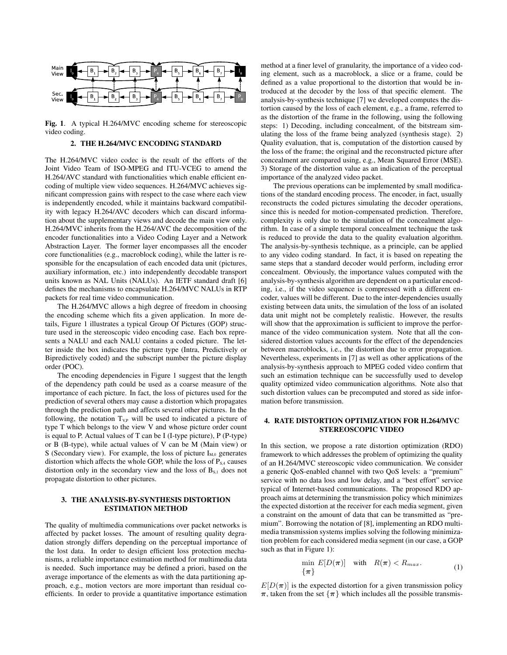

Fig. 1. A typical H.264/MVC encoding scheme for stereoscopic video coding.

#### 2. THE H.264/MVC ENCODING STANDARD

The H.264/MVC video codec is the result of the efforts of the Joint Video Team of ISO-MPEG and ITU-VCEG to amend the H.264/AVC standard with functionalities which enable efficient encoding of multiple view video sequences. H.264/MVC achieves significant compression gains with respect to the case where each view is independently encoded, while it maintains backward compatibility with legacy H.264/AVC decoders which can discard information about the supplementary views and decode the main view only. H.264/MVC inherits from the H.264/AVC the decomposition of the encoder functionalities into a Video Coding Layer and a Network Abstraction Layer. The former layer encompasses all the encoder core functionalities (e.g., macroblock coding), while the latter is responsible for the encapsulation of each encoded data unit (pictures, auxiliary information, etc.) into independently decodable transport units known as NAL Units (NALUs). An IETF standard draft [6] defines the mechanisms to encapsulate H.264/MVC NALUs in RTP packets for real time video communication.

The H.264/MVC allows a high degree of freedom in choosing the encoding scheme which fits a given application. In more details, Figure 1 illustrates a typical Group Of Pictures (GOP) structure used in the stereoscopic video encoding case. Each box represents a NALU and each NALU contains a coded picture. The letter inside the box indicates the picture type (Intra, Predictively or Bipredictively coded) and the subscript number the picture display order (POC).

The encoding dependencies in Figure 1 suggest that the length of the dependency path could be used as a coarse measure of the importance of each picture. In fact, the loss of pictures used for the prediction of several others may cause a distortion which propagates through the prediction path and affects several other pictures. In the following, the notation  $T_{VP}$  will be used to indicated a picture of type T which belongs to the view V and whose picture order count is equal to P. Actual values of T can be I (I-type picture), P (P-type) or B (B-type), while actual values of V can be M (Main view) or S (Secondary view). For example, the loss of picture  $I_{M,0}$  generates distortion which affects the whole GOP, while the loss of  $P_{S,4}$  causes distortion only in the secondary view and the loss of  $B_{s,1}$  does not propagate distortion to other pictures.

## 3. THE ANALYSIS-BY-SYNTHESIS DISTORTION ESTIMATION METHOD

The quality of multimedia communications over packet networks is affected by packet losses. The amount of resulting quality degradation strongly differs depending on the perceptual importance of the lost data. In order to design efficient loss protection mechanisms, a reliable importance estimation method for multimedia data is needed. Such importance may be defined a priori, based on the average importance of the elements as with the data partitioning approach, e.g., motion vectors are more important than residual coefficients. In order to provide a quantitative importance estimation method at a finer level of granularity, the importance of a video coding element, such as a macroblock, a slice or a frame, could be defined as a value proportional to the distortion that would be introduced at the decoder by the loss of that specific element. The analysis-by-synthesis technique [7] we developed computes the distortion caused by the loss of each element, e.g., a frame, referred to as the distortion of the frame in the following, using the following steps: 1) Decoding, including concealment, of the bitstream simulating the loss of the frame being analyzed (synthesis stage). 2) Quality evaluation, that is, computation of the distortion caused by the loss of the frame; the original and the reconstructed picture after concealment are compared using, e.g., Mean Squared Error (MSE). 3) Storage of the distortion value as an indication of the perceptual importance of the analyzed video packet.

The previous operations can be implemented by small modifications of the standard encoding process. The encoder, in fact, usually reconstructs the coded pictures simulating the decoder operations, since this is needed for motion-compensated prediction. Therefore, complexity is only due to the simulation of the concealment algorithm. In case of a simple temporal concealment technique the task is reduced to provide the data to the quality evaluation algorithm. The analysis-by-synthesis technique, as a principle, can be applied to any video coding standard. In fact, it is based on repeating the same steps that a standard decoder would perform, including error concealment. Obviously, the importance values computed with the analysis-by-synthesis algorithm are dependent on a particular encoding, i.e., if the video sequence is compressed with a different encoder, values will be different. Due to the inter-dependencies usually existing between data units, the simulation of the loss of an isolated data unit might not be completely realistic. However, the results will show that the approximation is sufficient to improve the performance of the video communication system. Note that all the considered distortion values accounts for the effect of the dependencies between macroblocks, i.e., the distortion due to error propagation. Nevertheless, experiments in [7] as well as other applications of the analysis-by-synthesis approach to MPEG coded video confirm that such an estimation technique can be successfully used to develop quality optimized video communication algorithms. Note also that such distortion values can be precomputed and stored as side information before transmission.

## 4. RATE DISTORTION OPTIMIZATION FOR H.264/MVC STEREOSCOPIC VIDEO

In this section, we propose a rate distortion optimization (RDO) framework to which addresses the problem of optimizing the quality of an H.264/MVC stereoscopic video communication. We consider a generic QoS-enabled channel with two QoS levels: a "premium" service with no data loss and low delay, and a "best effort" service typical of Internet-based communications. The proposed RDO approach aims at determining the transmission policy which minimizes the expected distortion at the receiver for each media segment, given a constraint on the amount of data that can be transmitted as "premium". Borrowing the notation of [8], implementing an RDO multimedia transmission systems implies solving the following minimization problem for each considered media segment (in our case, a GOP such as that in Figure 1):

$$
\min E[D(\pi)] \quad \text{with} \quad R(\pi) < R_{max}.\tag{1}
$$
\n
$$
\{\pi\}
$$

 $E[D(\pi)]$  is the expected distortion for a given transmission policy  $\pi$ , taken from the set  $\{\pi\}$  which includes all the possible transmis-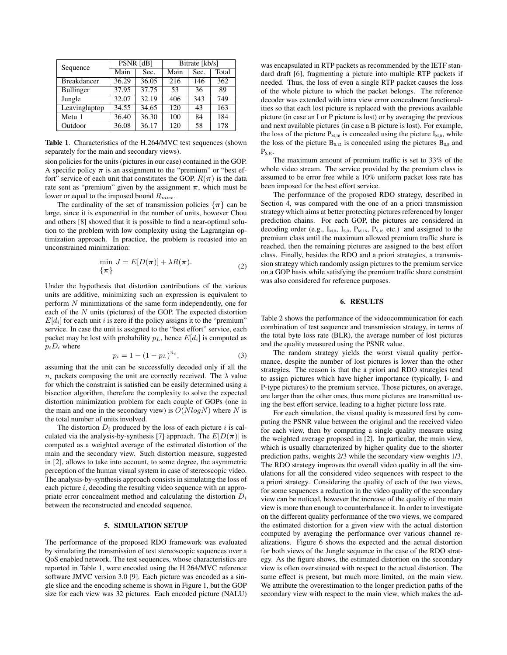| Sequence           | PSNR [dB] |       | Bitrate [kb/s] |      |       |
|--------------------|-----------|-------|----------------|------|-------|
|                    | Main      | Sec.  | Main           | Sec. | Total |
| <b>Breakdancer</b> | 36.29     | 36.05 | 216            | 146  | 362   |
| <b>Bullinger</b>   | 37.95     | 37.75 | 53             | 36   | 89    |
| Jungle             | 32.07     | 32.19 | 406            | 343  | 749   |
| Leavinglaptop      | 34.55     | 34.65 | 120            | 43   | 163   |
| $Metu_1$           | 36.40     | 36.30 | 100            | 84   | 184   |
| Outdoor            | 36.08     | 36.17 | 120            | 58   | 178   |

Table 1. Characteristics of the H.264/MVC test sequences (shown separately for the main and secondary views).

sion policies for the units (pictures in our case) contained in the GOP. A specific policy  $\pi$  is an assignment to the "premium" or "best effort" service of each unit that constitutes the GOP.  $R(\pi)$  is the data rate sent as "premium" given by the assignment  $\pi$ , which must be lower or equal to the imposed bound  $R_{max}$ .

The cardinality of the set of transmission policies  $\{\pi\}$  can be large, since it is exponential in the number of units, however Chou and others [8] showed that it is possible to find a near-optimal solution to the problem with low complexity using the Lagrangian optimization approach. In practice, the problem is recasted into an unconstrained minimization:

$$
\min J = E[D(\pi)] + \lambda R(\pi). \tag{2}
$$

Under the hypothesis that distortion contributions of the various units are additive, minimizing such an expression is equivalent to perform N minimizations of the same form independently, one for each of the  $N$  units (pictures) of the GOP. The expected distortion  $E[d_i]$  for each unit i is zero if the policy assigns it to the "premium" service. In case the unit is assigned to the "best effort" service, each packet may be lost with probability  $p<sub>L</sub>$ , hence  $E[d<sub>i</sub>]$  is computed as  $p_iD_i$  where

$$
p_i = 1 - (1 - p_L)^{n_i}, \t\t(3)
$$

assuming that the unit can be successfully decoded only if all the  $n_i$  packets composing the unit are correctly received. The  $\lambda$  value for which the constraint is satisfied can be easily determined using a bisection algorithm, therefore the complexity to solve the expected distortion minimization problem for each couple of GOPs (one in the main and one in the secondary view) is  $O(N \log N)$  where N is the total number of units involved.

The distortion  $D_i$  produced by the loss of each picture i is calculated via the analysis-by-synthesis [7] approach. The  $E[D(\pi)]$  is computed as a weighted average of the estimated distortion of the main and the secondary view. Such distortion measure, suggested in [2], allows to take into account, to some degree, the asymmetric perception of the human visual system in case of stereoscopic video. The analysis-by-synthesis approach consists in simulating the loss of each picture  $i$ , decoding the resulting video sequence with an appropriate error concealment method and calculating the distortion  $D_i$ between the reconstructed and encoded sequence.

#### 5. SIMULATION SETUP

The performance of the proposed RDO framework was evaluated by simulating the transmission of test stereoscopic sequences over a QoS enabled network. The test sequences, whose characteristics are reported in Table 1, were encoded using the H.264/MVC reference software JMVC version 3.0 [9]. Each picture was encoded as a single slice and the encoding scheme is shown in Figure 1, but the GOP size for each view was 32 pictures. Each encoded picture (NALU)

was encapsulated in RTP packets as recommended by the IETF standard draft [6], fragmenting a picture into multiple RTP packets if needed. Thus, the loss of even a single RTP packet causes the loss of the whole picture to which the packet belongs. The reference decoder was extended with intra view error concealment functionalities so that each lost picture is replaced with the previous available picture (in case an I or P picture is lost) or by averaging the previous and next available pictures (in case a B picture is lost). For example, the loss of the picture  $P_{M,16}$  is concealed using the picture  $I_{M,0}$ , while the loss of the picture  $B_{s,12}$  is concealed using the pictures  $B_{s,8}$  and  $P_{S,16}$ .

The maximum amount of premium traffic is set to 33% of the whole video stream. The service provided by the premium class is assumed to be error free while a 10% uniform packet loss rate has been imposed for the best effort service.

The performance of the proposed RDO strategy, described in Section 4, was compared with the one of an a priori transmission strategy which aims at better protecting pictures referenced by longer prediction chains. For each GOP, the pictures are considered in decoding order (e.g.,  $I_{M,0}$ ,  $I_{S,0}$ ,  $P_{M,16}$ ,  $P_{S,16}$  etc.) and assigned to the premium class until the maximum allowed premium traffic share is reached, then the remaining pictures are assigned to the best effort class. Finally, besides the RDO and a priori strategies, a transmission strategy which randomly assign pictures to the premium service on a GOP basis while satisfying the premium traffic share constraint was also considered for reference purposes.

## 6. RESULTS

Table 2 shows the performance of the videocommunication for each combination of test sequence and transmission strategy, in terms of the total byte loss rate (BLR), the average number of lost pictures and the quality measured using the PSNR value.

The random strategy yields the worst visual quality performance, despite the number of lost pictures is lower than the other strategies. The reason is that the a priori and RDO strategies tend to assign pictures which have higher importance (typically, I- and P-type pictures) to the premium service. Those pictures, on average, are larger than the other ones, thus more pictures are transmitted using the best effort service, leading to a higher picture loss rate.

For each simulation, the visual quality is measured first by computing the PSNR value between the original and the received video for each view, then by computing a single quality measure using the weighted average proposed in [2]. In particular, the main view, which is usually characterized by higher quality due to the shorter prediction paths, weights 2/3 while the secondary view weights 1/3. The RDO strategy improves the overall video quality in all the simulations for all the considered video sequences with respect to the a priori strategy. Considering the quality of each of the two views, for some sequences a reduction in the video quality of the secondary view can be noticed, however the increase of the quality of the main view is more than enough to counterbalance it. In order to investigate on the different quality performance of the two views, we compared the estimated distortion for a given view with the actual distortion computed by averaging the performance over various channel realizations. Figure 6 shows the expected and the actual distortion for both views of the Jungle sequence in the case of the RDO strategy. As the figure shows, the estimated distortion on the secondary view is often overstimated with respect to the actual distortion. The same effect is present, but much more limited, on the main view. We attribute the overestimation to the longer prediction paths of the secondary view with respect to the main view, which makes the ad-